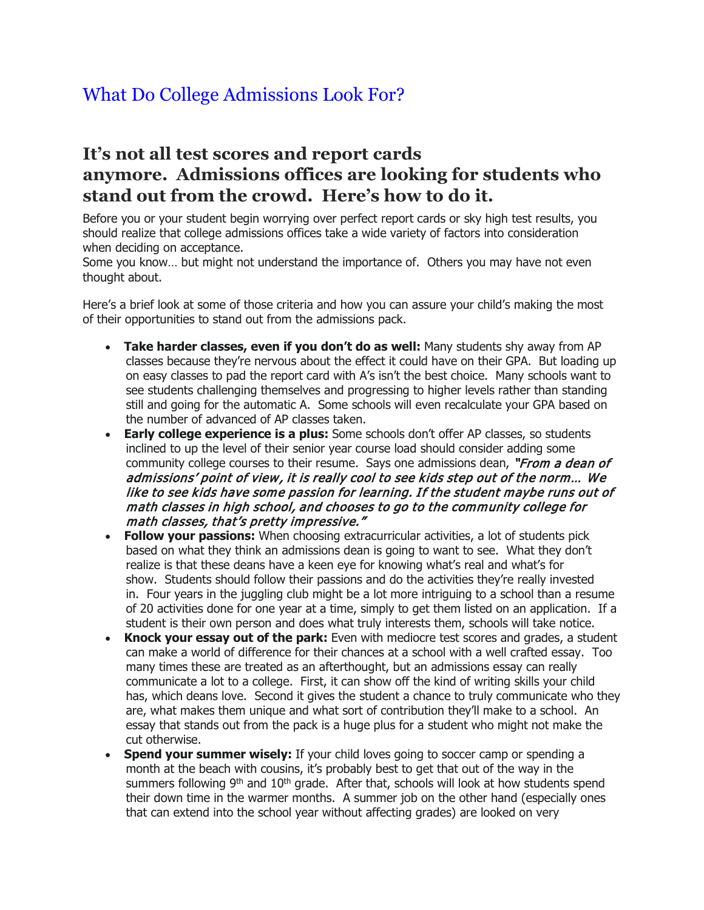## What Do College Admissions Look For?

## **It's not all test scores and report cards anymore. Admissions offices are looking for students who stand out from the crowd. Here's how to do it.**

Before you or your student begin worrying over perfect report cards or sky high test results, you should realize that college admissions offices take a wide variety of factors into consideration when deciding on acceptance.

Some you know… but might not understand the importance of. Others you may have not even thought about.

Here's a brief look at some of those criteria and how you can assure your child's making the most of their opportunities to stand out from the admissions pack.

- **Take harder classes, even if you don't do as well:** Many students shy away from AP classes because they're nervous about the effect it could have on their GPA. But loading up on easy classes to pad the report card with A's isn't the best choice. Many schools want to see students challenging themselves and progressing to higher levels rather than standing still and going for the automatic A. Some schools will even recalculate your GPA based on the number of advanced of AP classes taken.
- **Early college experience is a plus:** Some schools don't offer AP classes, so students inclined to up the level of their senior year course load should consider adding some community college courses to their resume. Says one admissions dean, "From a dean of admissions' point of view, it is really cool to see kids step out of the norm… We like to see kids have some passion for learning. If the student maybe runs out of math classes in high school, and chooses to go to the community college for math classes, that's pretty impressive."
- **Follow your passions:** When choosing extracurricular activities, a lot of students pick based on what they think an admissions dean is going to want to see. What they don't realize is that these deans have a keen eye for knowing what's real and what's for show. Students should follow their passions and do the activities they're really invested in. Four years in the juggling club might be a lot more intriguing to a school than a resume of 20 activities done for one year at a time, simply to get them listed on an application. If a student is their own person and does what truly interests them, schools will take notice.
- **Knock your essay out of the park:** Even with mediocre test scores and grades, a student can make a world of difference for their chances at a school with a well crafted essay. Too many times these are treated as an afterthought, but an admissions essay can really communicate a lot to a college. First, it can show off the kind of writing skills your child has, which deans love. Second it gives the student a chance to truly communicate who they are, what makes them unique and what sort of contribution they'll make to a school. An essay that stands out from the pack is a huge plus for a student who might not make the cut otherwise.
- **Spend your summer wisely:** If your child loves going to soccer camp or spending a month at the beach with cousins, it's probably best to get that out of the way in the summers following  $9<sup>th</sup>$  and  $10<sup>th</sup>$  grade. After that, schools will look at how students spend their down time in the warmer months. A summer job on the other hand (especially ones that can extend into the school year without affecting grades) are looked on very